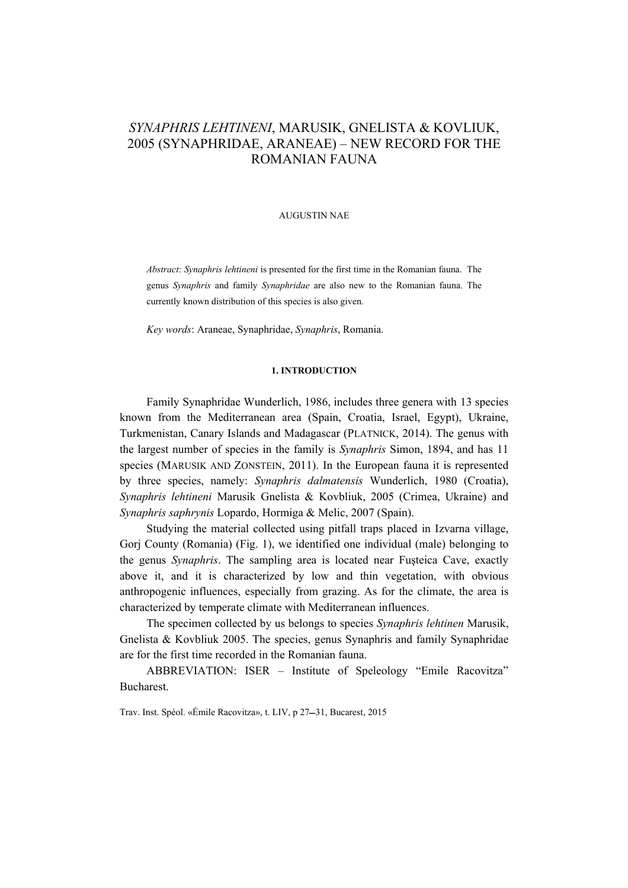# *SYNAPHRIS LEHTINENI*, MARUSIK, GNELISTA & KOVLIUK, 2005 (SYNAPHRIDAE, ARANEAE) – NEW RECORD FOR THE ROMANIAN FAUNA

#### AUGUSTIN NAE

*Abstract*: *Synaphris lehtineni* is presented for the first time in the Romanian fauna. The genus *Synaphris* and family *Synaphridae* are also new to the Romanian fauna. The currently known distribution of this species is also given.

*Key words*: Araneae, Synaphridae, *Synaphris*, Romania.

#### **1. INTRODUCTION**

Family Synaphridae Wunderlich, 1986, includes three genera with 13 species known from the Mediterranean area (Spain, Croatia, Israel, Egypt), Ukraine, Turkmenistan, Canary Islands and Madagascar (PLATNICK, 2014). The genus with the largest number of species in the family is *Synaphris* Simon, 1894, and has 11 species (MARUSIK AND ZONSTEIN, 2011). In the European fauna it is represented by three species, namely: *Synaphris dalmatensis* Wunderlich, 1980 (Croatia), *Synaphris lehtineni* Marusik Gnelista & Kovbliuk, 2005 (Crimea, Ukraine) and *Synaphris saphrynis* Lopardo, Hormiga & Melic, 2007 (Spain).

Studying the material collected using pitfall traps placed in Izvarna village, Gorj County (Romania) (Fig. 1), we identified one individual (male) belonging to the genus *Synaphris*. The sampling area is located near Fuşteica Cave, exactly above it, and it is characterized by low and thin vegetation, with obvious anthropogenic influences, especially from grazing. As for the climate, the area is characterized by temperate climate with Mediterranean influences.

The specimen collected by us belongs to species *Synaphris lehtinen* Marusik, Gnelista & Kovbliuk 2005. The species, genus Synaphris and family Synaphridae are for the first time recorded in the Romanian fauna.

ABBREVIATION: ISER – Institute of Speleology "Emile Racovitza" Bucharest.

Trav. Inst. Spéol. «Émile Racovitza», t. LIV, p 27-31, Bucarest, 2015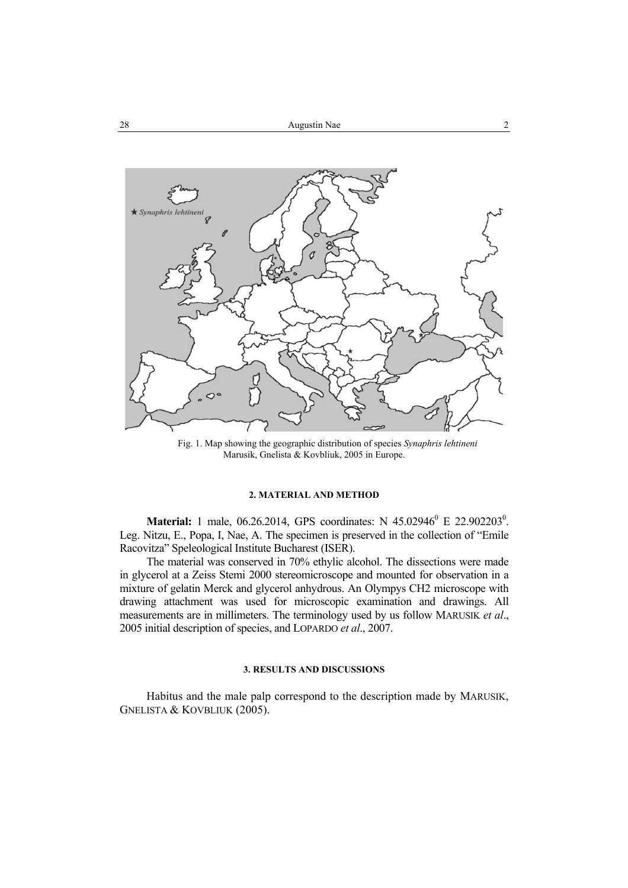

Fig. 1. Map showing the geographic distribution of species *Synaphris lehtineni* Marusik, Gnelista & Kovbliuk, 2005 in Europe.

## **2. MATERIAL AND METHOD**

**Material:** 1 male, 06.26.2014, GPS coordinates: N 45.02946<sup>0</sup> E 22.902203<sup>0</sup>. Leg. Nitzu, E., Popa, I, Nae, A. The specimen is preserved in the collection of "Emile Racovitza" Speleological Institute Bucharest (ISER).

The material was conserved in 70% ethylic alcohol. The dissections were made in glycerol at a Zeiss Stemi 2000 stereomicroscope and mounted for observation in a mixture of gelatin Merck and glycerol anhydrous. An Olympys CH2 microscope with drawing attachment was used for microscopic examination and drawings. All measurements are in millimeters. The terminology used by us follow MARUSIK *et al*., 2005 initial description of species, and LOPARDO *et al*., 2007.

#### **3. RESULTS AND DISCUSSIONS**

Habitus and the male palp correspond to the description made by MARUSIK, GNELISTA & KOVBLIUK (2005).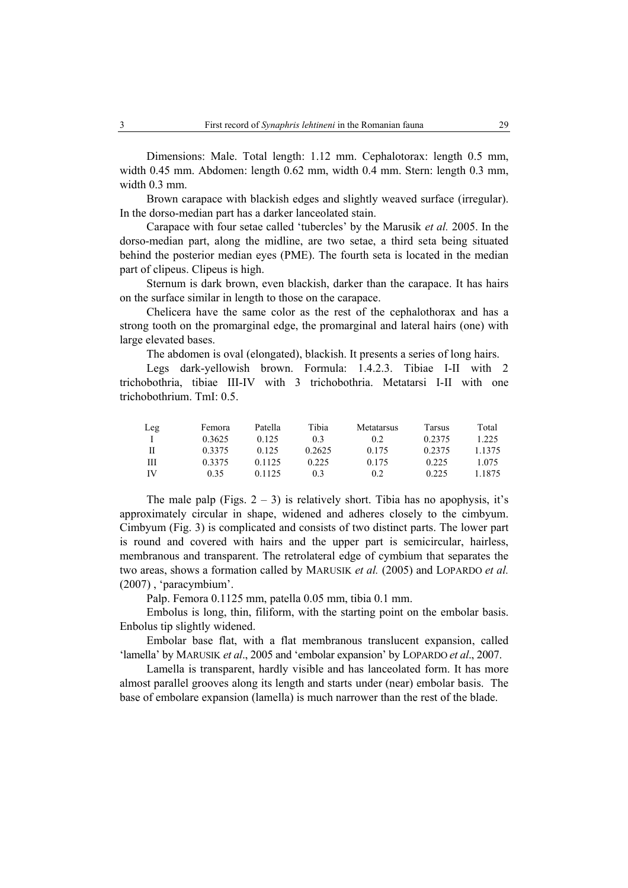Dimensions: Male. Total length: 1.12 mm. Cephalotorax: length 0.5 mm, width 0.45 mm. Abdomen: length 0.62 mm, width 0.4 mm. Stern: length 0.3 mm, width 0.3 mm

Brown carapace with blackish edges and slightly weaved surface (irregular). In the dorso-median part has a darker lanceolated stain.

Carapace with four setae called 'tubercles' by the Marusik *et al.* 2005. In the dorso-median part, along the midline, are two setae, a third seta being situated behind the posterior median eyes (PME). The fourth seta is located in the median part of clipeus. Clipeus is high.

Sternum is dark brown, even blackish, darker than the carapace. It has hairs on the surface similar in length to those on the carapace.

Chelicera have the same color as the rest of the cephalothorax and has a strong tooth on the promarginal edge, the promarginal and lateral hairs (one) with large elevated bases.

The abdomen is oval (elongated), blackish. It presents a series of long hairs.

Legs dark-yellowish brown. Formula: 1.4.2.3. Tibiae I-II with 2 trichobothria, tibiae III-IV with 3 trichobothria. Metatarsi I-II with one trichobothrium. TmI: 0.5.

| Leg | Femora | Patella | Tibia  | Metatarsus | Tarsus | Total  |
|-----|--------|---------|--------|------------|--------|--------|
|     | 0.3625 | 0.125   | 0.3    | 0.2        | 0.2375 | 1.225  |
| H   | 0.3375 | 0.125   | 0.2625 | 0.175      | 0.2375 | 1.1375 |
| Ш   | 0.3375 | 0.1125  | 0.225  | 0.175      | 0.225  | 1.075  |
| IV  | 0.35   | 0.1125  | 03     | 0.2        | 0.225  | 1.1875 |

The male palp (Figs.  $2 - 3$ ) is relatively short. Tibia has no apophysis, it's approximately circular in shape, widened and adheres closely to the cimbyum. Cimbyum (Fig. 3) is complicated and consists of two distinct parts. The lower part is round and covered with hairs and the upper part is semicircular, hairless, membranous and transparent. The retrolateral edge of cymbium that separates the two areas, shows a formation called by MARUSIK *et al.* (2005) and LOPARDO *et al.* (2007) , 'paracymbium'.

Palp. Femora 0.1125 mm, patella 0.05 mm, tibia 0.1 mm.

Embolus is long, thin, filiform, with the starting point on the embolar basis. Enbolus tip slightly widened.

Embolar base flat, with a flat membranous translucent expansion, called 'lamella' by MARUSIK *et al*., 2005 and 'embolar expansion' by LOPARDO *et al*., 2007.

Lamella is transparent, hardly visible and has lanceolated form. It has more almost parallel grooves along its length and starts under (near) embolar basis. The base of embolare expansion (lamella) is much narrower than the rest of the blade.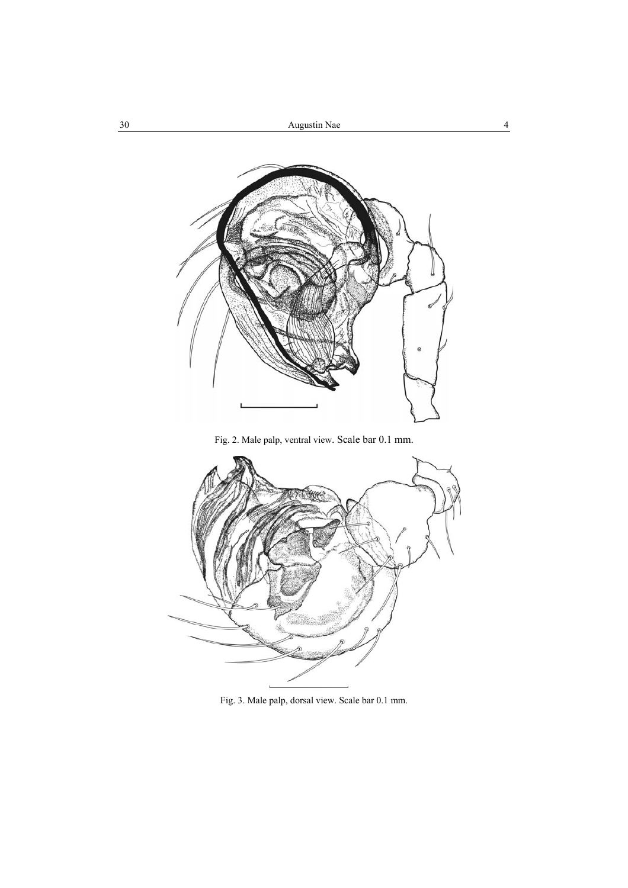

Fig. 2. Male palp, ventral view. Scale bar 0.1 mm.



Fig. 3. Male palp, dorsal view. Scale bar 0.1 mm.